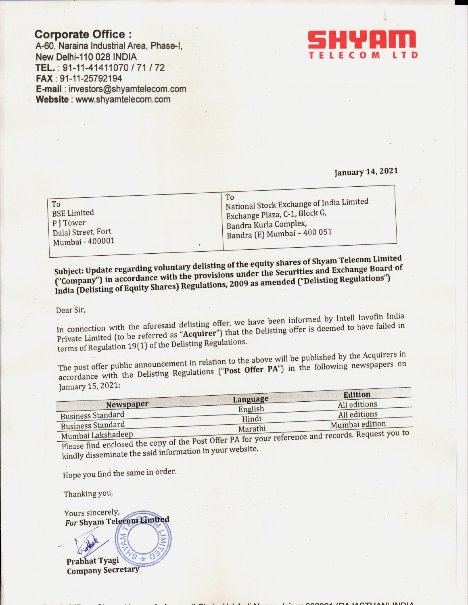# **Corporate Office:**

A-60, Naraina Industrial Area, Phase-I, New Delhi-110 028 INDIA TEL.: 91-11-41411070 / 71 / 72 FAX: 91-11-25792194 E-mail: investors@shyamtelecom.com Website: www.shyamtelecom.com



## **January 14, 2021**

| To<br><b>BSE Limited</b><br>PJTower<br>Dalal Street, Fort | To<br>National Stock Exchange of India Limited<br>Exchange Plaza, C-1, Block G,<br>Bandra Kurla Complex,<br>Bandra (E) Mumbai - 400 051 |
|-----------------------------------------------------------|-----------------------------------------------------------------------------------------------------------------------------------------|
| Mumbai - 400001                                           |                                                                                                                                         |

Subject: Update regarding voluntary delisting of the equity shares of Shyam Telecom Limited ("Company") in accordance with the provisions under the Securities and Exchange Board of India (Delisting of Equity Shares) Regulations, 2009 as amended ("Delisting Regulations")

Dear Sir,

In connection with the aforesaid delisting offer, we have been informed by Intell Invofin India Private Limited (to be referred as "Acquirer") that the Delisting offer is deemed to have failed in terms of Regulation 19(1) of the Delisting Regulations.

The post offer public announcement in relation to the above will be published by the Acquirers in accordance with the Delisting Regulations ("Post Offer PA") in the following newspapers on January 15, 2021:

| Language<br>All editions |                                      |
|--------------------------|--------------------------------------|
| All editions             |                                      |
| Marathi                  |                                      |
| Hindi                    | English<br>Mumbai edition<br>$P = P$ |

Please find enclosed the copy of the Post Offer PA for your reference and records. Request you to kindly disseminate the said information in your website.

Hope you find the same in order.

Thanking you,

Yours sincerely, For Shyam Telecom Limited Prabhat Tyagi **Company Secretary**